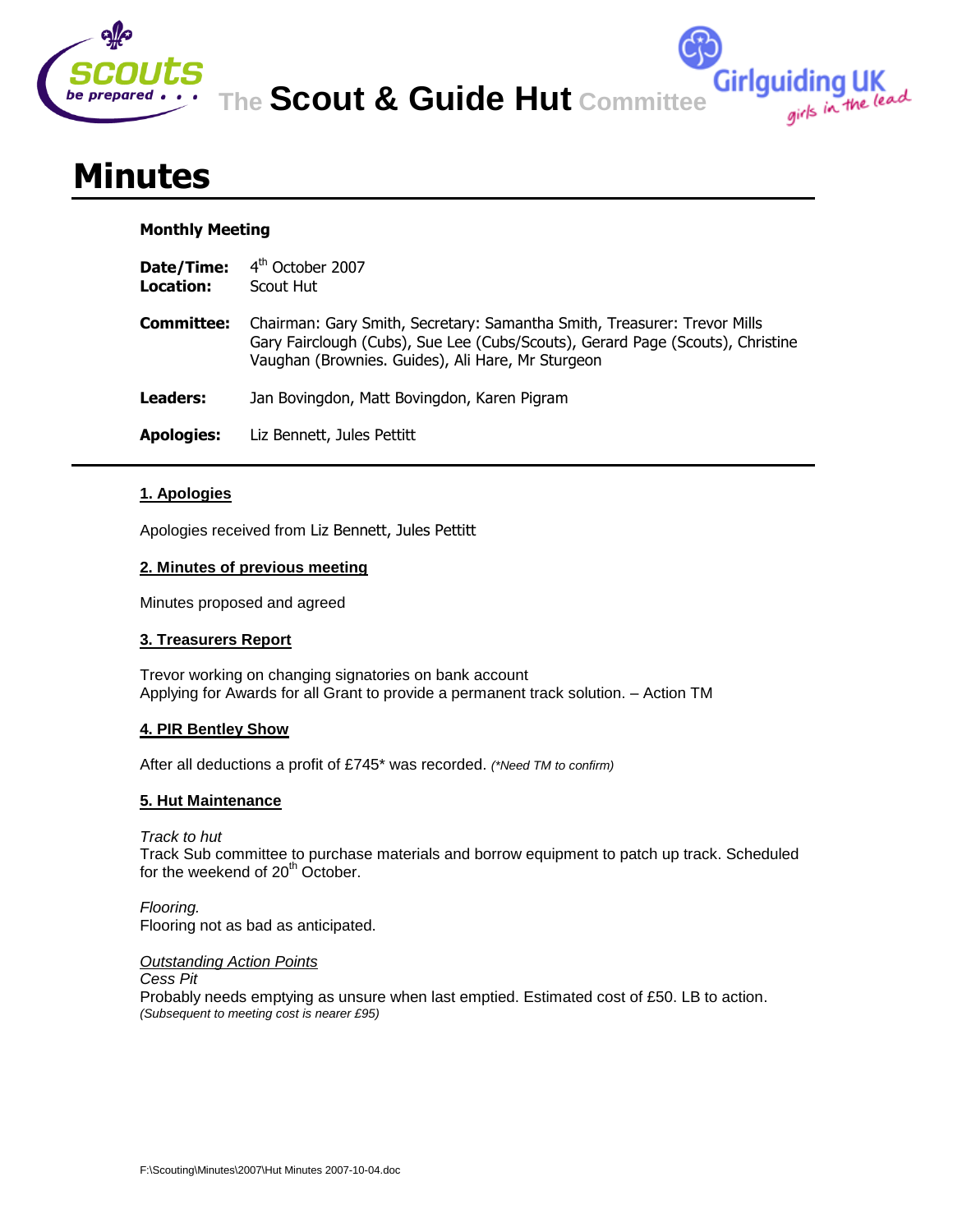

**The Scout & Guide Hut Committee**

**Girlguiding UK**<br>girls in the lead

# **Minutes**

## **Monthly Meeting**

- **Date/Time:** 4 4<sup>th</sup> October 2007
- **Location:** Scout Hut
- **Committee:** Chairman: Gary Smith, Secretary: Samantha Smith, Treasurer: Trevor Mills Gary Fairclough (Cubs), Sue Lee (Cubs/Scouts), Gerard Page (Scouts), Christine Vaughan (Brownies. Guides), Ali Hare, Mr Sturgeon
- **Leaders:** Jan Bovingdon, Matt Bovingdon, Karen Pigram
- **Apologies:** Liz Bennett, Jules Pettitt

# **1. Apologies**

Apologies received from Liz Bennett, Jules Pettitt

#### **2. Minutes of previous meeting**

Minutes proposed and agreed

# **3. Treasurers Report**

Trevor working on changing signatories on bank account Applying for Awards for all Grant to provide a permanent track solution. – Action TM

# **4. PIR Bentley Show**

After all deductions a profit of £745\* was recorded. *(\*Need TM to confirm)*

# **5. Hut Maintenance**

#### *Track to hut*

Track Sub committee to purchase materials and borrow equipment to patch up track. Scheduled for the weekend of  $20<sup>th</sup>$  October.

*Flooring.*  Flooring not as bad as anticipated.

#### *Outstanding Action Points*

*Cess Pit*

Probably needs emptying as unsure when last emptied. Estimated cost of £50. LB to action. *(Subsequent to meeting cost is nearer £95)*